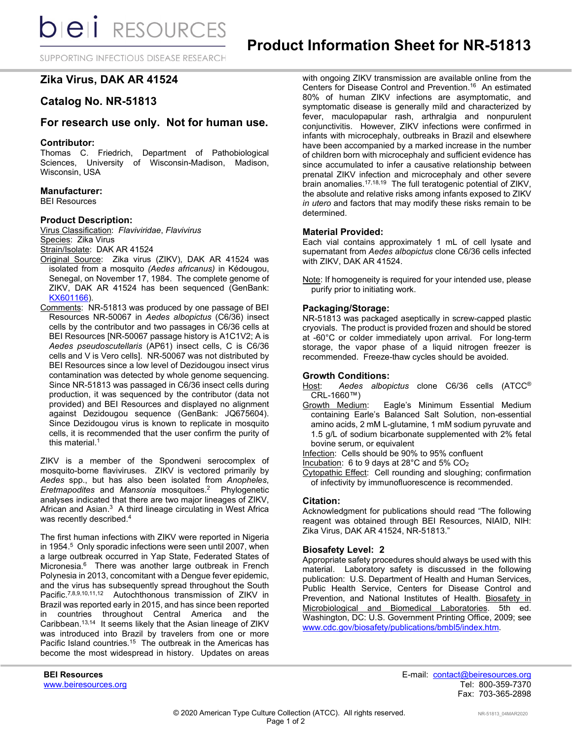**bieli** RESOURCES

SUPPORTING INFECTIOUS DISEASE RESEARCH

# **Zika Virus, DAK AR 41524**

# **Catalog No. NR-51813**

## **For research use only. Not for human use.**

### **Contributor:**

Thomas C. Friedrich, Department of Pathobiological Sciences, University of Wisconsin-Madison, Madison, Wisconsin, USA

### **Manufacturer:**

BEI Resources

## **Product Description:**

Virus Classification: *Flaviviridae*, *Flavivirus* Species: Zika Virus Strain/Isolate: DAK AR 41524

- Original Source: Zika virus (ZIKV), DAK AR 41524 was isolated from a mosquito *(Aedes africanus)* in Kédougou, Senegal, on November 17, 1984. The complete genome of ZIKV, DAK AR 41524 has been sequenced (GenBank: [KX601166\)](https://www.ncbi.nlm.nih.gov/nuccore/1153694675).
- Comments: NR-51813 was produced by one passage of BEI Resources NR-50067 in *Aedes albopictus* (C6/36) insect cells by the contributor and two passages in C6/36 cells at BEI Resources [NR-50067 passage history is A1C1V2; A is *Aedes pseudoscutellaris* (AP61) insect cells, C is C6/36 cells and V is Vero cells]. NR-50067 was not distributed by BEI Resources since a low level of Dezidougou insect virus contamination was detected by whole genome sequencing. Since NR-51813 was passaged in C6/36 insect cells during production, it was sequenced by the contributor (data not provided) and BEI Resources and displayed no alignment against Dezidougou sequence (GenBank: JQ675604). Since Dezidougou virus is known to replicate in mosquito cells, it is recommended that the user confirm the purity of this material.<sup>1</sup>

ZIKV is a member of the Spondweni serocomplex of mosquito-borne flaviviruses. ZIKV is vectored primarily by *Aedes* spp., but has also been isolated from *Anopheles*, *Eretmapodites* and *Mansonia* mosquitoes.2 Phylogenetic analyses indicated that there are two major lineages of ZIKV, African and Asian.<sup>3</sup> A third lineage circulating in West Africa was recently described.<sup>4</sup>

The first human infections with ZIKV were reported in Nigeria in 1954.<sup>5</sup> Only sporadic infections were seen until 2007, when a large outbreak occurred in Yap State, Federated States of Micronesia.<sup>6</sup> There was another large outbreak in French Polynesia in 2013, concomitant with a Dengue fever epidemic, and the virus has subsequently spread throughout the South Pacific.7,8,9,10,11,12 Autochthonous transmission of ZIKV in Brazil was reported early in 2015, and has since been reported in countries throughout Central America and the Caribbean.13,14 It seems likely that the Asian lineage of ZIKV was introduced into Brazil by travelers from one or more Pacific Island countries.<sup>15</sup> The outbreak in the Americas has become the most widespread in history. Updates on areas

with ongoing ZIKV transmission are available online from the Centers for Disease Control and Prevention.16 An estimated 80% of human ZIKV infections are asymptomatic, and symptomatic disease is generally mild and characterized by fever, maculopapular rash, arthralgia and nonpurulent conjunctivitis. However, ZIKV infections were confirmed in infants with microcephaly, outbreaks in Brazil and elsewhere have been accompanied by a marked increase in the number of children born with microcephaly and sufficient evidence has since accumulated to infer a causative relationship between prenatal ZIKV infection and microcephaly and other severe brain anomalies.<sup>17,18,19</sup> The full teratogenic potential of ZIKV, the absolute and relative risks among infants exposed to ZIKV *in utero* and factors that may modify these risks remain to be determined.

## **Material Provided:**

Each vial contains approximately 1 mL of cell lysate and supernatant from *Aedes albopictus* clone C6/36 cells infected with ZIKV, DAK AR 41524.

Note: If homogeneity is required for your intended use, please purify prior to initiating work.

### **Packaging/Storage:**

NR-51813 was packaged aseptically in screw-capped plastic cryovials. The product is provided frozen and should be stored at -60°C or colder immediately upon arrival. For long-term storage, the vapor phase of a liquid nitrogen freezer is recommended. Freeze-thaw cycles should be avoided.

### **Growth Conditions:**

Host: *Aedes albopictus* clone C6/36 cells (ATCC® CRL-1660™)<br>Growth Medium:

Eagle's Minimum Essential Medium containing Earle's Balanced Salt Solution, non-essential amino acids, 2 mM L-glutamine, 1 mM sodium pyruvate and 1.5 g/L of sodium bicarbonate supplemented with 2% fetal bovine serum, or equivalent

Infection: Cells should be 90% to 95% confluent

Incubation: 6 to 9 days at 28°C and 5% CO2

Cytopathic Effect: Cell rounding and sloughing; confirmation of infectivity by immunofluorescence is recommended.

### **Citation:**

Acknowledgment for publications should read "The following reagent was obtained through BEI Resources, NIAID, NIH: Zika Virus, DAK AR 41524, NR-51813."

### **Biosafety Level: 2**

Appropriate safety procedures should always be used with this material. Laboratory safety is discussed in the following publication: U.S. Department of Health and Human Services, Public Health Service, Centers for Disease Control and Prevention, and National Institutes of Health. Biosafety in Microbiological and Biomedical Laboratories. 5th ed. Washington, DC: U.S. Government Printing Office, 2009; see [www.cdc.gov/biosafety/publications/bmbl5/index.htm.](http://www.cdc.gov/biosafety/publications/bmbl5/index.htm)

**BEI Resources** E-mail: contact@beiresources.org Fax: 703-365-2898